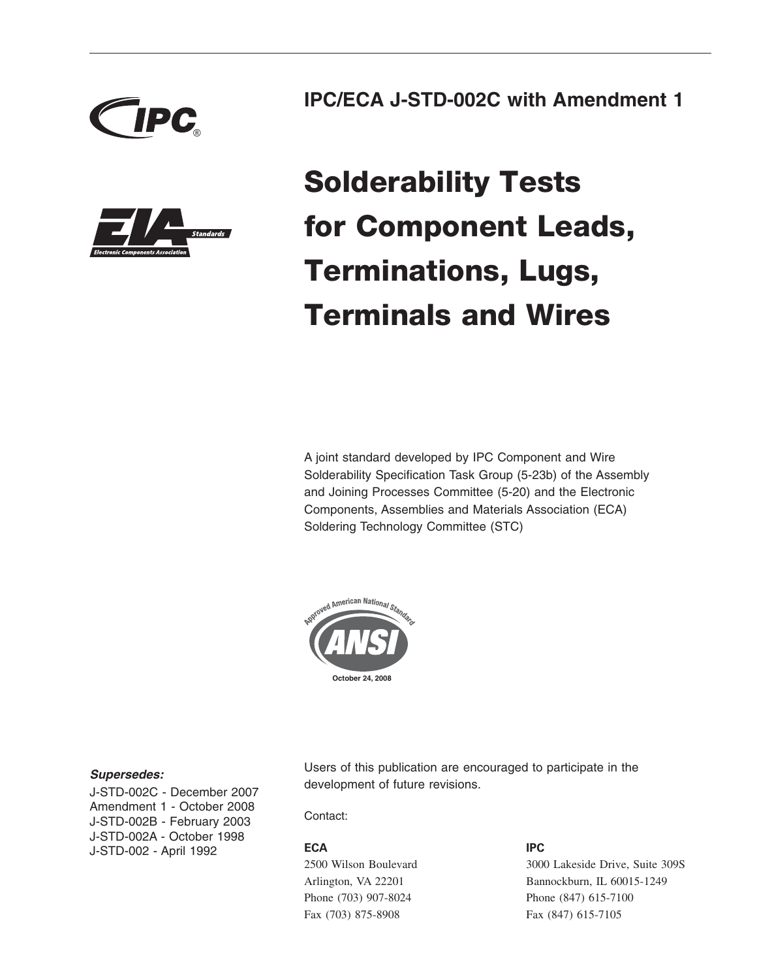



### **IPC/ECA J-STD-002C with Amendment 1**

# **Solderability Tests for Component Leads, Terminations, Lugs, Terminals and Wires**

A joint standard developed by IPC Component and Wire Solderability Specification Task Group (5-23b) of the Assembly and Joining Processes Committee (5-20) and the Electronic Components, Assemblies and Materials Association (ECA) Soldering Technology Committee (STC)



### *Supersedes:*

J-STD-002C - December 2007 Amendment 1 - October 2008 J-STD-002B - February 2003 J-STD-002A - October 1998 J-STD-002 - April 1992

Users of this publication are encouraged to participate in the development of future revisions.

### Contact:

### **ECA**

2500 Wilson Boulevard Arlington, VA 22201 Phone (703) 907-8024 Fax (703) 875-8908

### **IPC**

3000 Lakeside Drive, Suite 309S Bannockburn, IL 60015-1249 Phone (847) 615-7100 Fax (847) 615-7105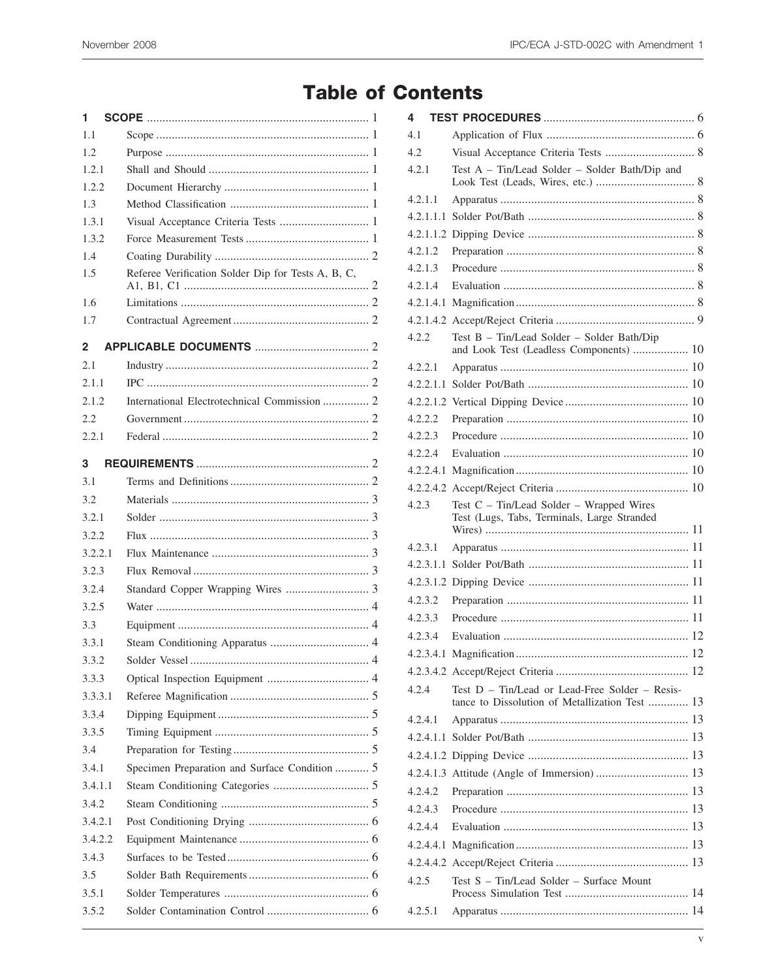## **Table of Contents**

| 1       |                                                    |
|---------|----------------------------------------------------|
| 1.1     |                                                    |
| 1.2     |                                                    |
| 1.2.1   |                                                    |
| 1.2.2   |                                                    |
| 1.3     |                                                    |
| 1.3.1   | Visual Acceptance Criteria Tests  1                |
| 1.3.2   |                                                    |
| 1.4     |                                                    |
| 1.5     | Referee Verification Solder Dip for Tests A, B, C, |
| 1.6     |                                                    |
| 1.7     |                                                    |
| 2       |                                                    |
| 2.1     |                                                    |
| 2.1.1   |                                                    |
| 2.1.2   | International Electrotechnical Commission  2       |
| 2.2     |                                                    |
| 2.2.1   |                                                    |
|         |                                                    |
| 3       |                                                    |
| 3.1     |                                                    |
| 3.2     |                                                    |
| 3.2.1   |                                                    |
| 3.2.2   |                                                    |
| 3.2.2.1 |                                                    |
| 3.2.3   |                                                    |
| 3.2.4   |                                                    |
| 3.2.5   |                                                    |
| 3.3     |                                                    |
| 3.3.1   |                                                    |
| 3.3.2   | Solder Vessel -                                    |
| 3.3.3   |                                                    |
| 3.3.3.1 |                                                    |
| 3.3.4   |                                                    |
| 3.3.5   |                                                    |
| 3.4     |                                                    |
| 3.4.1   | Specimen Preparation and Surface Condition  5      |
| 3.4.1.1 |                                                    |
| 3.4.2   |                                                    |
| 3.4.2.1 |                                                    |
| 3.4.2.2 |                                                    |
| 3.4.3   |                                                    |
| 3.5     |                                                    |
| 3.5.1   |                                                    |
| 3.5.2   |                                                    |
|         |                                                    |

| 4       |                                                                                                  |  |
|---------|--------------------------------------------------------------------------------------------------|--|
| 4.1     |                                                                                                  |  |
| 4.2     |                                                                                                  |  |
| 4.2.1   | Test A - Tin/Lead Solder - Solder Bath/Dip and                                                   |  |
| 4.2.1.1 |                                                                                                  |  |
|         |                                                                                                  |  |
|         |                                                                                                  |  |
| 4.2.1.2 |                                                                                                  |  |
| 4.2.1.3 |                                                                                                  |  |
| 4.2.1.4 |                                                                                                  |  |
|         |                                                                                                  |  |
|         |                                                                                                  |  |
| 4.2.2   | Test B - Tin/Lead Solder - Solder Bath/Dip<br>and Look Test (Leadless Components)  10            |  |
| 4.2.2.1 |                                                                                                  |  |
|         |                                                                                                  |  |
|         |                                                                                                  |  |
| 4.2.2.2 |                                                                                                  |  |
| 4.2.2.3 |                                                                                                  |  |
| 4.2.2.4 |                                                                                                  |  |
|         |                                                                                                  |  |
|         |                                                                                                  |  |
| 4.2.3   | Test C - Tin/Lead Solder - Wrapped Wires<br>Test (Lugs, Tabs, Terminals, Large Stranded          |  |
| 4.2.3.1 |                                                                                                  |  |
|         |                                                                                                  |  |
|         |                                                                                                  |  |
| 4.2.3.2 |                                                                                                  |  |
| 4.2.3.3 |                                                                                                  |  |
| 4.2.3.4 |                                                                                                  |  |
|         |                                                                                                  |  |
|         |                                                                                                  |  |
| 4.2.4   | Test D - Tin/Lead or Lead-Free Solder - Resis-<br>tance to Dissolution of Metallization Test  13 |  |
| 4.2.4.1 |                                                                                                  |  |
|         |                                                                                                  |  |
|         |                                                                                                  |  |
|         |                                                                                                  |  |
| 4.2.4.2 |                                                                                                  |  |
| 4.2.4.3 |                                                                                                  |  |
| 4.2.4.4 |                                                                                                  |  |
|         |                                                                                                  |  |
|         |                                                                                                  |  |
| 4.2.5   | Test S - Tin/Lead Solder - Surface Mount                                                         |  |
| 4.2.5.1 |                                                                                                  |  |
|         |                                                                                                  |  |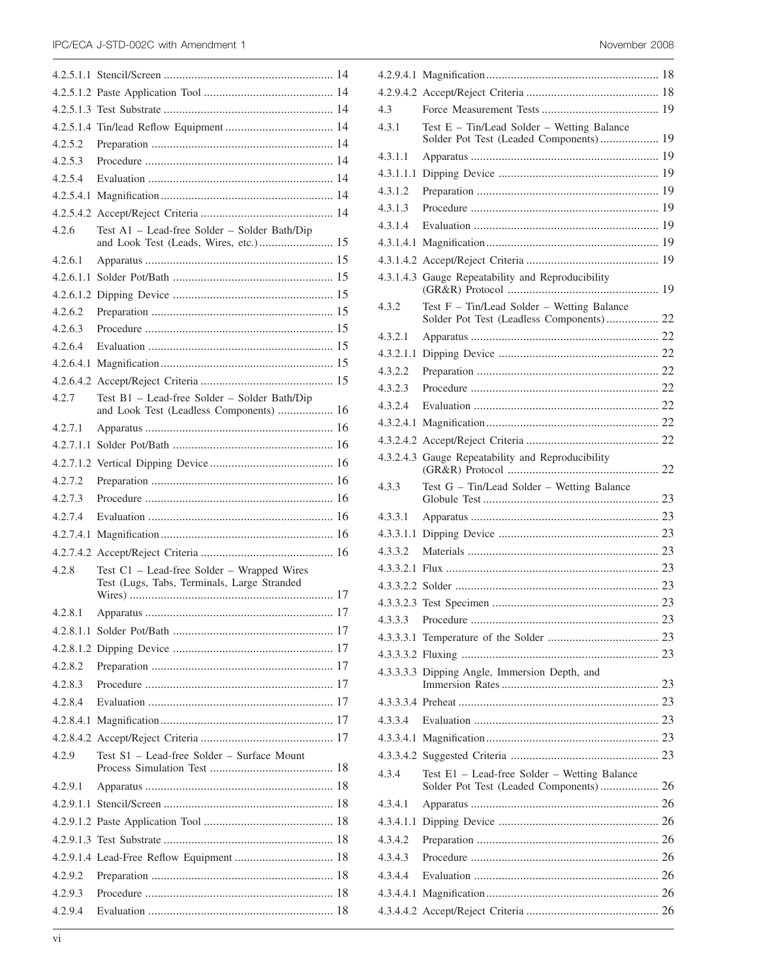| 4.2.5.2   |                                                                                           |  |
|-----------|-------------------------------------------------------------------------------------------|--|
| 4.2.5.3   |                                                                                           |  |
| 4.2.5.4   |                                                                                           |  |
|           |                                                                                           |  |
|           |                                                                                           |  |
| 4.2.6     | Test A1 - Lead-free Solder - Solder Bath/Dip<br>and Look Test (Leads, Wires, etc.) 15     |  |
| 4.2.6.1   |                                                                                           |  |
| 4.2.6.1.1 |                                                                                           |  |
|           |                                                                                           |  |
| 4.2.6.2   |                                                                                           |  |
| 4.2.6.3   |                                                                                           |  |
| 4.2.6.4   |                                                                                           |  |
|           |                                                                                           |  |
|           |                                                                                           |  |
| 4.2.7     | Test B1 - Lead-free Solder - Solder Bath/Dip<br>and Look Test (Leadless Components)  16   |  |
| 4.2.7.1   |                                                                                           |  |
|           |                                                                                           |  |
|           |                                                                                           |  |
| 4.2.7.2   |                                                                                           |  |
| 4.2.7.3   |                                                                                           |  |
| 4.2.7.4   |                                                                                           |  |
| 4.2.7.4.1 |                                                                                           |  |
| 4.2.7.4.2 |                                                                                           |  |
| 4.2.8     | Test C1 - Lead-free Solder - Wrapped Wires<br>Test (Lugs, Tabs, Terminals, Large Stranded |  |
| 4.2.8.1   |                                                                                           |  |
|           |                                                                                           |  |
|           |                                                                                           |  |
| 4.2.8.2   |                                                                                           |  |
| 4.2.8.3   |                                                                                           |  |
| 4.2.8.4   |                                                                                           |  |
|           |                                                                                           |  |
|           |                                                                                           |  |
| 4.2.9     | Test S1 - Lead-free Solder - Surface Mount                                                |  |
| 4.2.9.1   |                                                                                           |  |
| 4.2.9.1.1 |                                                                                           |  |
|           |                                                                                           |  |
|           |                                                                                           |  |
|           |                                                                                           |  |
| 4.2.9.2   |                                                                                           |  |
| 4.2.9.3   |                                                                                           |  |
| 4.2.9.4   |                                                                                           |  |
|           |                                                                                           |  |

| 4.3       |                                                                                        |
|-----------|----------------------------------------------------------------------------------------|
|           |                                                                                        |
| 4.3.1     | Test E - Tin/Lead Solder - Wetting Balance<br>Solder Pot Test (Leaded Components) 19   |
| 4.3.1.1   |                                                                                        |
| 4.3.1.1.1 |                                                                                        |
| 4.3.1.2   |                                                                                        |
| 4.3.1.3   |                                                                                        |
| 4.3.1.4   |                                                                                        |
|           |                                                                                        |
|           |                                                                                        |
|           | 4.3.1.4.3 Gauge Repeatability and Reproducibility                                      |
| 4.3.2     | Test F - Tin/Lead Solder - Wetting Balance<br>Solder Pot Test (Leadless Components) 22 |
| 4.3.2.1   |                                                                                        |
| 4.3.2.1.1 |                                                                                        |
| 4.3.2.2   |                                                                                        |
| 4.3.2.3   |                                                                                        |
| 4.3.2.4   |                                                                                        |
|           |                                                                                        |
|           |                                                                                        |
|           | 4.3.2.4.3 Gauge Repeatability and Reproducibility                                      |
| 4.3.3     | Test G - Tin/Lead Solder - Wetting Balance                                             |
| 4.3.3.1   |                                                                                        |
|           |                                                                                        |
| 4.3.3.2   |                                                                                        |
| 4.3.3.2.1 |                                                                                        |
|           |                                                                                        |
|           |                                                                                        |
| 4.3.3.3   |                                                                                        |
|           |                                                                                        |
|           |                                                                                        |
|           | 4.3.3.3.3 Dipping Angle, Immersion Depth, and                                          |
|           |                                                                                        |
| 4.3.3.4   |                                                                                        |
|           |                                                                                        |
|           |                                                                                        |
| 4.3.4     | Test E1 - Lead-free Solder - Wetting Balance                                           |
|           | Solder Pot Test (Leaded Components) 26                                                 |
| 4.3.4.1   |                                                                                        |
|           |                                                                                        |
| 4.3.4.1.1 |                                                                                        |
| 4.3.4.2   |                                                                                        |
| 4.3.4.3   |                                                                                        |
| 4.3.4.4   |                                                                                        |
|           |                                                                                        |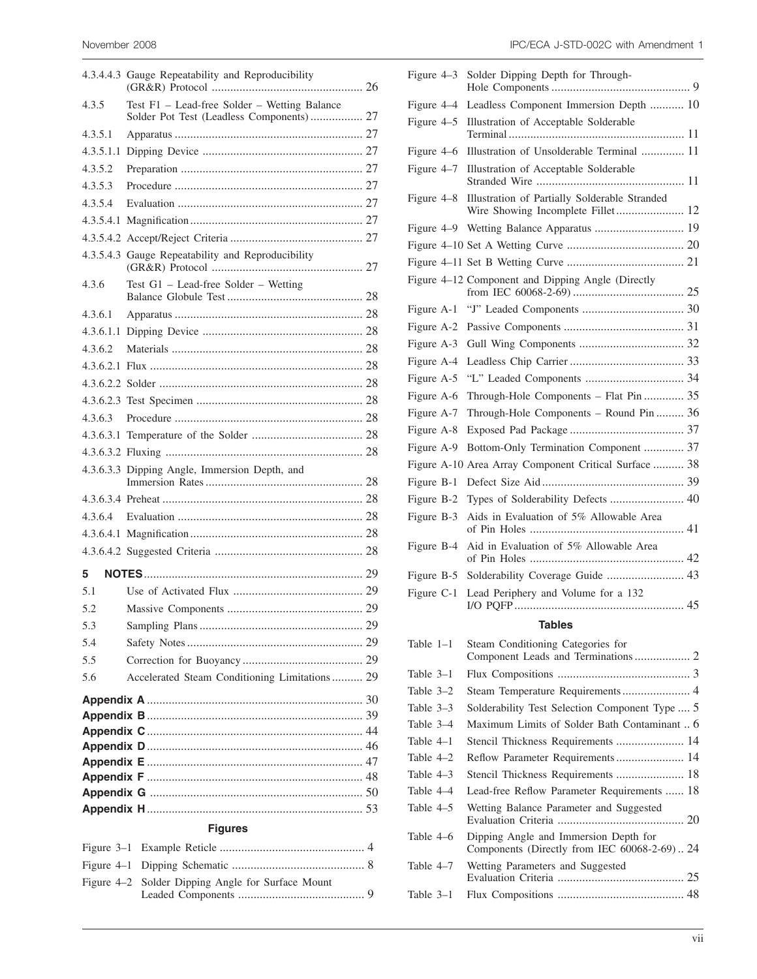|                | 4.3.4.4.3 Gauge Repeatability and Reproducibility                                        |  |
|----------------|------------------------------------------------------------------------------------------|--|
| 4.3.5          | Test F1 - Lead-free Solder - Wetting Balance<br>Solder Pot Test (Leadless Components) 27 |  |
| 4.3.5.1        |                                                                                          |  |
| 4.3.5.1.1      |                                                                                          |  |
| 4.3.5.2        |                                                                                          |  |
| 4.3.5.3        |                                                                                          |  |
| 4.3.5.4        |                                                                                          |  |
|                |                                                                                          |  |
|                |                                                                                          |  |
|                | 4.3.5.4.3 Gauge Repeatability and Reproducibility                                        |  |
| 4.3.6          | Test G1 - Lead-free Solder - Wetting                                                     |  |
| 4.3.6.1        |                                                                                          |  |
| 4.3.6.1.1      |                                                                                          |  |
| 4.3.6.2        |                                                                                          |  |
|                |                                                                                          |  |
|                |                                                                                          |  |
|                |                                                                                          |  |
| 4.3.6.3        |                                                                                          |  |
|                |                                                                                          |  |
|                |                                                                                          |  |
|                | 4.3.6.3.3 Dipping Angle, Immersion Depth, and                                            |  |
|                |                                                                                          |  |
| 4.3.6.4        |                                                                                          |  |
|                |                                                                                          |  |
|                |                                                                                          |  |
| 5              |                                                                                          |  |
| 5.1            |                                                                                          |  |
| 5.2            |                                                                                          |  |
| 5.3            |                                                                                          |  |
| 5.4            |                                                                                          |  |
| 5.5            |                                                                                          |  |
| 5.6            | Accelerated Steam Conditioning Limitations 29                                            |  |
|                |                                                                                          |  |
|                |                                                                                          |  |
|                |                                                                                          |  |
|                |                                                                                          |  |
|                |                                                                                          |  |
|                |                                                                                          |  |
|                |                                                                                          |  |
| <b>Figures</b> |                                                                                          |  |
|                |                                                                                          |  |

Figure 4–1 Dipping Schematic ........................................... 8

Leaded Components ......................................... 9

Figure 4–2 Solder Dipping Angle for Surface Mount

| IPC/ECA J-STD-002C with Amendment 1 |
|-------------------------------------|
|                                     |

| Figure 4-3  | Solder Dipping Depth for Through-                                                  |  |
|-------------|------------------------------------------------------------------------------------|--|
| Figure 4–4  | Leadless Component Immersion Depth  10                                             |  |
| Figure 4–5  | Illustration of Acceptable Solderable                                              |  |
| Figure 4-6  | Illustration of Unsolderable Terminal  11                                          |  |
| Figure 4-7  | Illustration of Acceptable Solderable                                              |  |
| Figure 4–8  | Illustration of Partially Solderable Stranded<br>Wire Showing Incomplete Fillet 12 |  |
| Figure 4–9  | Wetting Balance Apparatus  19                                                      |  |
|             |                                                                                    |  |
|             |                                                                                    |  |
|             | Figure 4-12 Component and Dipping Angle (Directly                                  |  |
| Figure A-1  |                                                                                    |  |
| Figure A-2  |                                                                                    |  |
| Figure A-3  |                                                                                    |  |
| Figure A-4  |                                                                                    |  |
| Figure A-5  |                                                                                    |  |
| Figure A-6  | Through-Hole Components - Flat Pin  35                                             |  |
| Figure A-7  | Through-Hole Components - Round Pin  36                                            |  |
| Figure A-8  |                                                                                    |  |
| Figure A-9  | Bottom-Only Termination Component  37                                              |  |
| Figure A-10 | Area Array Component Critical Surface  38                                          |  |
| Figure B-1  |                                                                                    |  |
| Figure B-2  | Types of Solderability Defects  40                                                 |  |
| Figure B-3  | Aids in Evaluation of 5% Allowable Area                                            |  |
| Figure B-4  | Aid in Evaluation of 5% Allowable Area                                             |  |
| Figure B-5  | Solderability Coverage Guide  43                                                   |  |
| Figure C-1  | Lead Periphery and Volume for a 132                                                |  |
|             | <b>Tables</b>                                                                      |  |
| Table $1-1$ | Steam Conditioning Categories for<br>Component Leads and Terminations 2            |  |
| Table $3-1$ |                                                                                    |  |
| Table 3-2   | Steam Temperature Requirements 4                                                   |  |

| Table 4–1   |                                                                                       |  |
|-------------|---------------------------------------------------------------------------------------|--|
| Table $4-2$ | Reflow Parameter Requirements 14                                                      |  |
| Table 4–3   |                                                                                       |  |
| Table 4–4   | Lead-free Reflow Parameter Requirements  18                                           |  |
| Table 4–5   | Wetting Balance Parameter and Suggested                                               |  |
| Table 4–6   | Dipping Angle and Immersion Depth for<br>Components (Directly from IEC 60068-2-69) 24 |  |
| Table 4–7   | Wetting Parameters and Suggested                                                      |  |
| Table 3–1   |                                                                                       |  |
|             |                                                                                       |  |

Table 3–3 Solderability Test Selection Component Type .... 5 Table 3–4 Maximum Limits of Solder Bath Contaminant .. 6